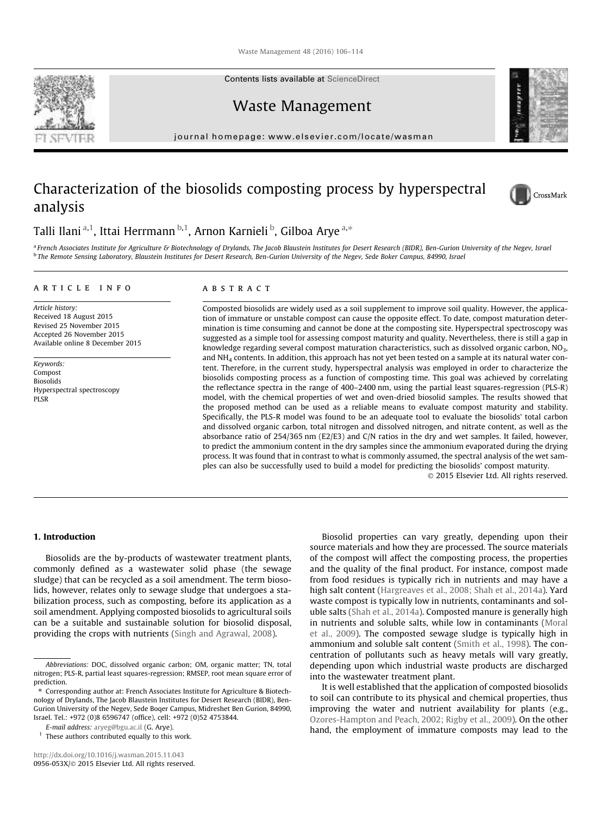Waste Management 48 (2016) 106–114

Contents lists available at ScienceDirect

Waste Management

journal homepage: www.elsevier.com/locate/wasman

# Characterization of the biosolids composting process by hyperspectral analysis

Talli Ilani <sup>a,1</sup>, Ittai Herrmann <sup>b,1</sup>, Arnon Karnieli <sup>b</sup>, Gilboa Arye <sup>a,</sup>\*

a *French Associates Institute for Agriculture & Biotechnology of Drylands, The Jacob Blaustein Institutes for Desert Research (BIDR), Ben-Gurion University of the Negev, Israel* b *The Remote Sensing Laboratory, Blaustein Institutes for Desert Research, Ben-Gurion University of the Negev, Sede Boker Campus, 84990, Israel*

# article info

*Article history:* Received 18 August 2015 Revised 25 November 2015 Accepted 26 November 2015 Available online 8 December 2015

*Keywords:* Compost Biosolids Hyperspectral spectroscopy PLSR

# ABSTRACT

Composted biosolids are widely used as a soil supplement to improve soil quality. However, the application of immature or unstable compost can cause the opposite effect. To date, compost maturation determination is time consuming and cannot be done at the composting site. Hyperspectral spectroscopy was suggested as a simple tool for assessing compost maturity and quality. Nevertheless, there is still a gap in knowledge regarding several compost maturation characteristics, such as dissolved organic carbon,  $NO<sub>3</sub>$ , and NH<sub>4</sub> contents. In addition, this approach has not yet been tested on a sample at its natural water content. Therefore, in the current study, hyperspectral analysis was employed in order to characterize the biosolids composting process as a function of composting time. This goal was achieved by correlating the reflectance spectra in the range of 400–2400 nm, using the partial least squares-regression (PLS-R) model, with the chemical properties of wet and oven-dried biosolid samples. The results showed that the proposed method can be used as a reliable means to evaluate compost maturity and stability. Specifically, the PLS-R model was found to be an adequate tool to evaluate the biosolids' total carbon and dissolved organic carbon, total nitrogen and dissolved nitrogen, and nitrate content, as well as the absorbance ratio of 254/365 nm (E2/E3) and C/N ratios in the dry and wet samples. It failed, however, to predict the ammonium content in the dry samples since the ammonium evaporated during the drying process. It was found that in contrast to what is commonly assumed, the spectral analysis of the wet samples can also be successfully used to build a model for predicting the biosolids' compost maturity.

2015 Elsevier Ltd. All rights reserved.

# 1. Introduction

Biosolids are the by-products of wastewater treatment plants, commonly defined as a wastewater solid phase (the sewage sludge) that can be recycled as a soil amendment. The term biosolids, however, relates only to sewage sludge that undergoes a stabilization process, such as composting, before its application as a soil amendment. Applying composted biosolids to agricultural soils can be a suitable and sustainable solution for biosolid disposal, providing the crops with nutrients (Singh and Agrawal, 2008).

<sup>1</sup> These authors contributed equally to this work.

source materials and how they are processed. The source materials of the compost will affect the composting process, the properties and the quality of the final product. For instance, compost made from food residues is typically rich in nutrients and may have a high salt content (Hargreaves et al., 2008; Shah et al., 2014a). Yard waste compost is typically low in nutrients, contaminants and soluble salts (Shah et al., 2014a). Composted manure is generally high in nutrients and soluble salts, while low in contaminants (Moral et al., 2009). The composted sewage sludge is typically high in ammonium and soluble salt content (Smith et al., 1998). The concentration of pollutants such as heavy metals will vary greatly, depending upon which industrial waste products are discharged into the wastewater treatment plant.

Biosolid properties can vary greatly, depending upon their

It is well established that the application of composted biosolids to soil can contribute to its physical and chemical properties, thus improving the water and nutrient availability for plants (e.g., Ozores-Hampton and Peach, 2002; Rigby et al., 2009). On the other hand, the employment of immature composts may lead to the





CrossMark

*Abbreviations:* DOC, dissolved organic carbon; OM, organic matter; TN, total nitrogen; PLS-R, partial least squares-regression; RMSEP, root mean square error of prediction.

<sup>⇑</sup> Corresponding author at: French Associates Institute for Agriculture & Biotechnology of Drylands, The Jacob Blaustein Institutes for Desert Research (BIDR), Ben-Gurion University of the Negev, Sede Boqer Campus, Midreshet Ben Gurion, 84990, Israel. Tel.: +972 (0)8 6596747 (office), cell: +972 (0)52 4753844.

*E-mail address:* aryeg@bgu.ac.il (G. Arye).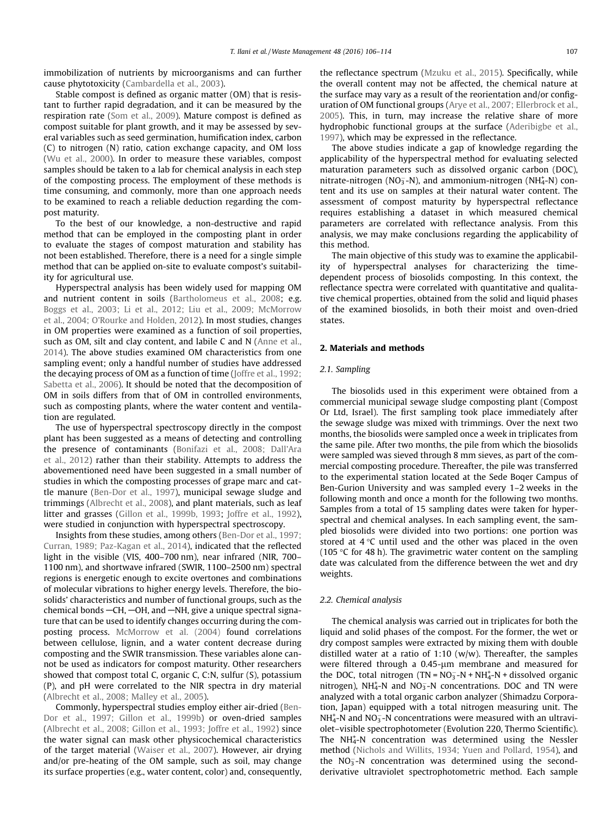immobilization of nutrients by microorganisms and can further cause phytotoxicity (Cambardella et al., 2003).

Stable compost is defined as organic matter (OM) that is resistant to further rapid degradation, and it can be measured by the respiration rate (Som et al., 2009). Mature compost is defined as compost suitable for plant growth, and it may be assessed by several variables such as seed germination, humification index, carbon (C) to nitrogen (N) ratio, cation exchange capacity, and OM loss (Wu et al., 2000). In order to measure these variables, compost samples should be taken to a lab for chemical analysis in each step of the composting process. The employment of these methods is time consuming, and commonly, more than one approach needs to be examined to reach a reliable deduction regarding the compost maturity.

To the best of our knowledge, a non-destructive and rapid method that can be employed in the composting plant in order to evaluate the stages of compost maturation and stability has not been established. Therefore, there is a need for a single simple method that can be applied on-site to evaluate compost's suitability for agricultural use.

Hyperspectral analysis has been widely used for mapping OM and nutrient content in soils (Bartholomeus et al., 2008; e.g. Boggs et al., 2003; Li et al., 2012; Liu et al., 2009; McMorrow et al., 2004; O'Rourke and Holden, 2012). In most studies, changes in OM properties were examined as a function of soil properties, such as OM, silt and clay content, and labile C and N (Anne et al., 2014). The above studies examined OM characteristics from one sampling event; only a handful number of studies have addressed the decaying process of OM as a function of time (Joffre et al., 1992; Sabetta et al., 2006). It should be noted that the decomposition of OM in soils differs from that of OM in controlled environments, such as composting plants, where the water content and ventilation are regulated.

The use of hyperspectral spectroscopy directly in the compost plant has been suggested as a means of detecting and controlling the presence of contaminants (Bonifazi et al., 2008; Dall'Ara et al., 2012) rather than their stability. Attempts to address the abovementioned need have been suggested in a small number of studies in which the composting processes of grape marc and cattle manure (Ben-Dor et al., 1997), municipal sewage sludge and trimmings (Albrecht et al., 2008), and plant materials, such as leaf litter and grasses (Gillon et al., 1999b, 1993; Joffre et al., 1992), were studied in conjunction with hyperspectral spectroscopy.

Insights from these studies, among others (Ben-Dor et al., 1997; Curran, 1989; Paz-Kagan et al., 2014), indicated that the reflected light in the visible (VIS, 400–700 nm), near infrared (NIR, 700– 1100 nm), and shortwave infrared (SWIR, 1100–2500 nm) spectral regions is energetic enough to excite overtones and combinations of molecular vibrations to higher energy levels. Therefore, the biosolids' characteristics and number of functional groups, such as the chemical bonds  $-CH$ ,  $-OH$ , and  $-NH$ , give a unique spectral signature that can be used to identify changes occurring during the composting process. McMorrow et al. (2004) found correlations between cellulose, lignin, and a water content decrease during composting and the SWIR transmission. These variables alone cannot be used as indicators for compost maturity. Other researchers showed that compost total C, organic C, C:N, sulfur (S), potassium (P), and pH were correlated to the NIR spectra in dry material (Albrecht et al., 2008; Malley et al., 2005).

Commonly, hyperspectral studies employ either air-dried (Ben-Dor et al., 1997; Gillon et al., 1999b) or oven-dried samples (Albrecht et al., 2008; Gillon et al., 1993; Joffre et al., 1992) since the water signal can mask other physicochemical characteristics of the target material (Waiser et al., 2007). However, air drying and/or pre-heating of the OM sample, such as soil, may change its surface properties (e.g., water content, color) and, consequently, the reflectance spectrum (Mzuku et al., 2015). Specifically, while the overall content may not be affected, the chemical nature at the surface may vary as a result of the reorientation and/or configuration of OM functional groups (Arye et al., 2007; Ellerbrock et al., 2005). This, in turn, may increase the relative share of more hydrophobic functional groups at the surface (Aderibigbe et al., 1997), which may be expressed in the reflectance.

The above studies indicate a gap of knowledge regarding the applicability of the hyperspectral method for evaluating selected maturation parameters such as dissolved organic carbon (DOC), nitrate-nitrogen (NO<sub>3</sub>-N), and ammonium-nitrogen (NH<sub>4</sub>-N) content and its use on samples at their natural water content. The assessment of compost maturity by hyperspectral reflectance requires establishing a dataset in which measured chemical parameters are correlated with reflectance analysis. From this analysis, we may make conclusions regarding the applicability of this method.

The main objective of this study was to examine the applicability of hyperspectral analyses for characterizing the timedependent process of biosolids composting. In this context, the reflectance spectra were correlated with quantitative and qualitative chemical properties, obtained from the solid and liquid phases of the examined biosolids, in both their moist and oven-dried states.

## 2. Materials and methods

## *2.1. Sampling*

The biosolids used in this experiment were obtained from a commercial municipal sewage sludge composting plant (Compost Or Ltd, Israel). The first sampling took place immediately after the sewage sludge was mixed with trimmings. Over the next two months, the biosolids were sampled once a week in triplicates from the same pile. After two months, the pile from which the biosolids were sampled was sieved through 8 mm sieves, as part of the commercial composting procedure. Thereafter, the pile was transferred to the experimental station located at the Sede Boqer Campus of Ben-Gurion University and was sampled every 1–2 weeks in the following month and once a month for the following two months. Samples from a total of 15 sampling dates were taken for hyperspectral and chemical analyses. In each sampling event, the sampled biosolids were divided into two portions: one portion was stored at  $4^{\circ}$ C until used and the other was placed in the oven (105 °C for 48 h). The gravimetric water content on the sampling date was calculated from the difference between the wet and dry weights.

### *2.2. Chemical analysis*

The chemical analysis was carried out in triplicates for both the liquid and solid phases of the compost. For the former, the wet or dry compost samples were extracted by mixing them with double distilled water at a ratio of  $1:10$  (w/w). Thereafter, the samples were filtered through a  $0.45$ - $\mu$ m membrane and measured for the DOC, total nitrogen (TN =  $NO_3^- - N + NH_4^- - N +$  dissolved organic nitrogen),  $NH_4^+$ -N and  $NO_3^-$ -N concentrations. DOC and TN were analyzed with a total organic carbon analyzer (Shimadzu Corporation, Japan) equipped with a total nitrogen measuring unit. The  $NH_4^+$ -N and  $NO_3^-$ -N concentrations were measured with an ultraviolet–visible spectrophotometer (Evolution 220, Thermo Scientific). The NH<sub>4</sub>-N concentration was determined using the Nessler method (Nichols and Willits, 1934; Yuen and Pollard, 1954), and the NO<sub>3</sub>-N concentration was determined using the secondderivative ultraviolet spectrophotometric method. Each sample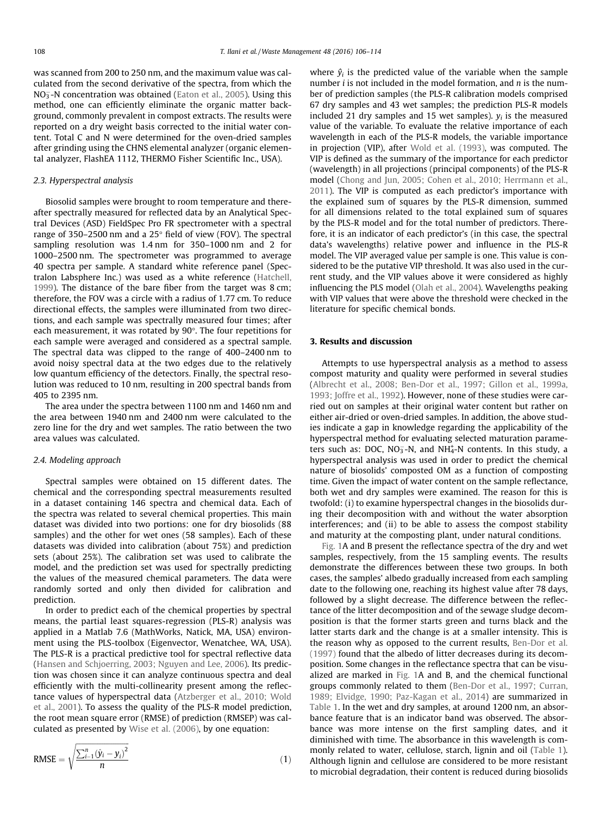was scanned from 200 to 250 nm, and the maximum value was calculated from the second derivative of the spectra, from which the NO<sub>3</sub>-N concentration was obtained (Eaton et al., 2005). Using this method, one can efficiently eliminate the organic matter background, commonly prevalent in compost extracts. The results were reported on a dry weight basis corrected to the initial water content. Total C and N were determined for the oven-dried samples after grinding using the CHNS elemental analyzer (organic elemental analyzer, FlashEA 1112, THERMO Fisher Scientific Inc., USA).

# *2.3. Hyperspectral analysis*

Biosolid samples were brought to room temperature and thereafter spectrally measured for reflected data by an Analytical Spectral Devices (ASD) FieldSpec Pro FR spectrometer with a spectral range of 350–2500 nm and a  $25^{\circ}$  field of view (FOV). The spectral sampling resolution was 1.4 nm for 350–1000 nm and 2 for 1000–2500 nm. The spectrometer was programmed to average 40 spectra per sample. A standard white reference panel (Spectralon Labsphere Inc.) was used as a white reference (Hatchell, 1999). The distance of the bare fiber from the target was 8 cm; therefore, the FOV was a circle with a radius of 1.77 cm. To reduce directional effects, the samples were illuminated from two directions, and each sample was spectrally measured four times; after each measurement, it was rotated by  $90^\circ$ . The four repetitions for each sample were averaged and considered as a spectral sample. The spectral data was clipped to the range of 400–2400 nm to avoid noisy spectral data at the two edges due to the relatively low quantum efficiency of the detectors. Finally, the spectral resolution was reduced to 10 nm, resulting in 200 spectral bands from 405 to 2395 nm.

The area under the spectra between 1100 nm and 1460 nm and the area between 1940 nm and 2400 nm were calculated to the zero line for the dry and wet samples. The ratio between the two area values was calculated.

# *2.4. Modeling approach*

Spectral samples were obtained on 15 different dates. The chemical and the corresponding spectral measurements resulted in a dataset containing 146 spectra and chemical data. Each of the spectra was related to several chemical properties. This main dataset was divided into two portions: one for dry biosolids (88 samples) and the other for wet ones (58 samples). Each of these datasets was divided into calibration (about 75%) and prediction sets (about 25%). The calibration set was used to calibrate the model, and the prediction set was used for spectrally predicting the values of the measured chemical parameters. The data were randomly sorted and only then divided for calibration and prediction.

In order to predict each of the chemical properties by spectral means, the partial least squares-regression (PLS-R) analysis was applied in a Matlab 7.6 (MathWorks, Natick, MA, USA) environment using the PLS-toolbox (Eigenvector, Wenatchee, WA, USA). The PLS-R is a practical predictive tool for spectral reflective data (Hansen and Schjoerring, 2003; Nguyen and Lee, 2006). Its prediction was chosen since it can analyze continuous spectra and deal efficiently with the multi-collinearity present among the reflectance values of hyperspectral data (Atzberger et al., 2010; Wold et al., 2001). To assess the quality of the PLS-R model prediction, the root mean square error (RMSE) of prediction (RMSEP) was calculated as presented by Wise et al. (2006), by one equation:

RMSE = 
$$
\sqrt{\frac{\sum_{i=1}^{n} (\hat{y}_i - y_i)^2}{n}}
$$
 (1)

where  $\hat{y}_i$  is the predicted value of the variable when the sample number *i* is not included in the model formation, and *n* is the number of prediction samples (the PLS-R calibration models comprised 67 dry samples and 43 wet samples; the prediction PLS-R models included 21 dry samples and 15 wet samples).  $y_i$  is the measured value of the variable. To evaluate the relative importance of each wavelength in each of the PLS-R models, the variable importance in projection (VIP), after Wold et al. (1993), was computed. The VIP is defined as the summary of the importance for each predictor (wavelength) in all projections (principal components) of the PLS-R model (Chong and Jun, 2005; Cohen et al., 2010; Herrmann et al., 2011). The VIP is computed as each predictor's importance with the explained sum of squares by the PLS-R dimension, summed for all dimensions related to the total explained sum of squares by the PLS-R model and for the total number of predictors. Therefore, it is an indicator of each predictor's (in this case, the spectral data's wavelengths) relative power and influence in the PLS-R model. The VIP averaged value per sample is one. This value is considered to be the putative VIP threshold. It was also used in the current study, and the VIP values above it were considered as highly influencing the PLS model (Olah et al., 2004). Wavelengths peaking with VIP values that were above the threshold were checked in the literature for specific chemical bonds.

## 3. Results and discussion

Attempts to use hyperspectral analysis as a method to assess compost maturity and quality were performed in several studies (Albrecht et al., 2008; Ben-Dor et al., 1997; Gillon et al., 1999a, 1993; Joffre et al., 1992). However, none of these studies were carried out on samples at their original water content but rather on either air-dried or oven-dried samples. In addition, the above studies indicate a gap in knowledge regarding the applicability of the hyperspectral method for evaluating selected maturation parameters such as: DOC,  $NO_3^-$ -N, and  $NH_4^+$ -N contents. In this study, a hyperspectral analysis was used in order to predict the chemical nature of biosolids' composted OM as a function of composting time. Given the impact of water content on the sample reflectance, both wet and dry samples were examined. The reason for this is twofold: (i) to examine hyperspectral changes in the biosolids during their decomposition with and without the water absorption interferences; and (ii) to be able to assess the compost stability and maturity at the composting plant, under natural conditions.

Fig. 1A and B present the reflectance spectra of the dry and wet samples, respectively, from the 15 sampling events. The results demonstrate the differences between these two groups. In both cases, the samples' albedo gradually increased from each sampling date to the following one, reaching its highest value after 78 days, followed by a slight decrease. The difference between the reflectance of the litter decomposition and of the sewage sludge decomposition is that the former starts green and turns black and the latter starts dark and the change is at a smaller intensity. This is the reason why as opposed to the current results, Ben-Dor et al. (1997) found that the albedo of litter decreases during its decomposition. Some changes in the reflectance spectra that can be visualized are marked in Fig. 1A and B, and the chemical functional groups commonly related to them (Ben-Dor et al., 1997; Curran, 1989; Elvidge, 1990; Paz-Kagan et al., 2014) are summarized in Table 1. In the wet and dry samples, at around 1200 nm, an absorbance feature that is an indicator band was observed. The absorbance was more intense on the first sampling dates, and it diminished with time. The absorbance in this wavelength is commonly related to water, cellulose, starch, lignin and oil (Table 1). Although lignin and cellulose are considered to be more resistant to microbial degradation, their content is reduced during biosolids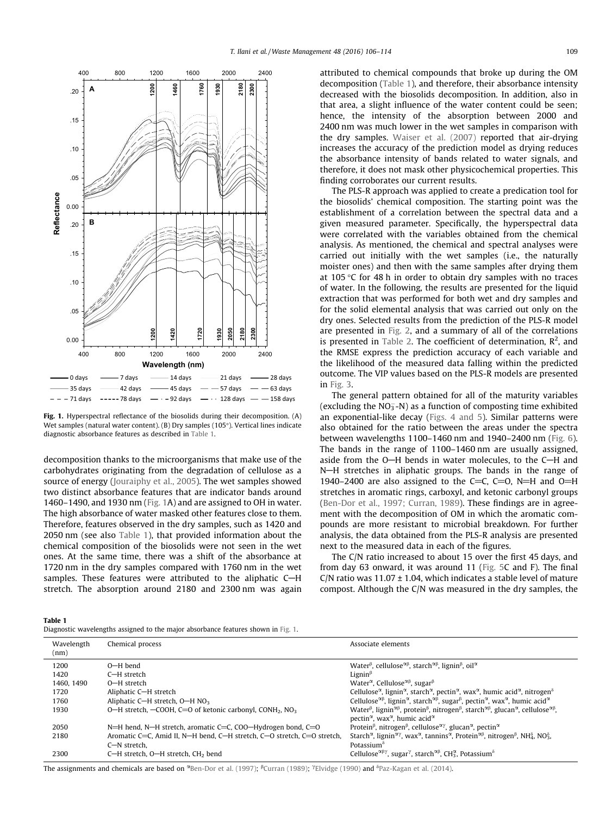

Fig. 1. Hyperspectral reflectance of the biosolids during their decomposition. (A) Wet samples (natural water content). (B) Dry samples (105°). Vertical lines indicate diagnostic absorbance features as described in Table 1.

decomposition thanks to the microorganisms that make use of the carbohydrates originating from the degradation of cellulose as a source of energy (Jouraiphy et al., 2005). The wet samples showed two distinct absorbance features that are indicator bands around 1460–1490, and 1930 nm (Fig. 1A) and are assigned to OH in water. The high absorbance of water masked other features close to them. Therefore, features observed in the dry samples, such as 1420 and 2050 nm (see also Table 1), that provided information about the chemical composition of the biosolids were not seen in the wet ones. At the same time, there was a shift of the absorbance at 1720 nm in the dry samples compared with 1760 nm in the wet samples. These features were attributed to the aliphatic C-H stretch. The absorption around 2180 and 2300 nm was again attributed to chemical compounds that broke up during the OM decomposition (Table 1), and therefore, their absorbance intensity decreased with the biosolids decomposition. In addition, also in that area, a slight influence of the water content could be seen; hence, the intensity of the absorption between 2000 and 2400 nm was much lower in the wet samples in comparison with the dry samples. Waiser et al. (2007) reported that air-drying increases the accuracy of the prediction model as drying reduces the absorbance intensity of bands related to water signals, and therefore, it does not mask other physicochemical properties. This finding corroborates our current results.

The PLS-R approach was applied to create a predication tool for the biosolids' chemical composition. The starting point was the establishment of a correlation between the spectral data and a given measured parameter. Specifically, the hyperspectral data were correlated with the variables obtained from the chemical analysis. As mentioned, the chemical and spectral analyses were carried out initially with the wet samples (i.e., the naturally moister ones) and then with the same samples after drying them at 105  $\degree$ C for 48 h in order to obtain dry samples with no traces of water. In the following, the results are presented for the liquid extraction that was performed for both wet and dry samples and for the solid elemental analysis that was carried out only on the dry ones. Selected results from the prediction of the PLS-R model are presented in Fig. 2, and a summary of all of the correlations is presented in Table 2. The coefficient of determination,  $R^2$ , and the RMSE express the prediction accuracy of each variable and the likelihood of the measured data falling within the predicted outcome. The VIP values based on the PLS-R models are presented in Fig. 3.

The general pattern obtained for all of the maturity variables (excluding the  $NO<sub>3</sub> - N$ ) as a function of composting time exhibited an exponential-like decay (Figs. 4 and 5). Similar patterns were also obtained for the ratio between the areas under the spectra between wavelengths 1100–1460 nm and 1940–2400 nm (Fig. 6). The bands in the range of 1100–1460 nm are usually assigned, aside from the  $O-H$  bends in water molecules, to the  $C-H$  and N-H stretches in aliphatic groups. The bands in the range of 1940–2400 are also assigned to the C=C, C=O, N=H and O=H stretches in aromatic rings, carboxyl, and ketonic carbonyl groups (Ben-Dor et al., 1997; Curran, 1989). These findings are in agreement with the decomposition of OM in which the aromatic compounds are more resistant to microbial breakdown. For further analysis, the data obtained from the PLS-R analysis are presented next to the measured data in each of the figures.

The C/N ratio increased to about 15 over the first 45 days, and from day 63 onward, it was around 11 (Fig. 5C and F). The final C/N ratio was  $11.07 \pm 1.04$ , which indicates a stable level of mature compost. Although the C/N was measured in the dry samples, the

Table 1

| Diagnostic wavelengths assigned to the major absorbance features shown in Fig. 1. |  |  |
|-----------------------------------------------------------------------------------|--|--|
|-----------------------------------------------------------------------------------|--|--|

| Wavelength<br>(nm) | Chemical process                                                                    | Associate elements                                                                                                                                                                                                                                                                                       |
|--------------------|-------------------------------------------------------------------------------------|----------------------------------------------------------------------------------------------------------------------------------------------------------------------------------------------------------------------------------------------------------------------------------------------------------|
| 1200               | $O-H$ bend                                                                          | Water <sup><math>\beta</math></sup> , cellulose <sup><math>\alpha\beta</math></sup> , starch <sup><math>\alpha\beta</math></sup> , lignin <sup><math>\beta</math></sup> , oil <sup><math>\alpha</math></sup>                                                                                             |
| 1420               | C-H stretch                                                                         | Lignin $\beta$                                                                                                                                                                                                                                                                                           |
| 1460, 1490         | O-H stretch                                                                         | Water <sup><math>\alpha</math></sup> , Cellulose <sup><math>\alpha</math><math>\beta</math></sup> , sugar $\beta$                                                                                                                                                                                        |
| 1720               | Aliphatic C-H stretch                                                               | Cellulose <sup><math>\alpha</math></sup> , lignin <sup><math>\alpha</math></sup> , starch <sup><math>\alpha</math></sup> , pectin $\alpha$ , wax $\alpha$ , humic acid $\alpha$ , nitrogen <sup><math>\delta</math></sup>                                                                                |
| 1760               | Aliphatic C-H stretch, O-H NO <sub>3</sub>                                          | Cellulose <sup><math>\alpha</math>β</sup> , lignin <sup>α</sup> , starch <sup>αβ</sup> , sugar <sup>β</sup> , pectin <sup>α</sup> , wax <sup>α</sup> , humic acid <sup>α</sup>                                                                                                                           |
| 1930               | O-H stretch, $-COOH$ , C=O of ketonic carbonyl, CONH <sub>2</sub> , NO <sub>3</sub> | Water <sup><math>\beta</math></sup> , lignin <sup><math>\alpha\beta</math></sup> , protein <sup><math>\beta</math></sup> , nitrogen <sup><math>\beta</math></sup> , starch <sup><math>\alpha\beta</math></sup> , glucan <sup><math>\alpha</math></sup> , cellulose <sup><math>\alpha\beta</math></sup> , |
|                    |                                                                                     | pectin <sup><math>\alpha</math></sup> , wax <sup><math>\alpha</math></sup> , humic acid $\alpha$                                                                                                                                                                                                         |
| 2050               | N=H hend, N-H stretch, aromatic C=C, COO-Hydrogen bond, C=O                         | Protein <sup><math>\beta</math></sup> , nitrogen <sup><math>\beta</math></sup> , cellulose <sup><math>\alpha\gamma</math></sup> , glucan <sup><math>\alpha</math></sup> , pectin $\alpha$                                                                                                                |
| 2180               | Aromatic C=C, Amid II, N-H bend, C-H stretch, C-O stretch, C=O stretch,             | Starch <sup><math>\alpha</math></sup> , lignin <sup><math>\alpha\gamma</math></sup> , wax $\alpha$ , tannins $\alpha$ , Protein $\alpha\beta$ , nitrogen $\beta$ , NH $\delta$ , NO $\delta$ ,                                                                                                           |
|                    | C-N stretch.                                                                        | Potassium $\delta$                                                                                                                                                                                                                                                                                       |
| 2300               | C-H stretch, O-H stretch, CH <sub>2</sub> bend                                      | Cellulose <sup><math>\alpha\beta\gamma</math></sup> , sugar <sup><math>\gamma</math></sup> , starch <sup><math>\alpha\beta</math></sup> , CH <sup>2</sup> , Potassium <sup>8</sup>                                                                                                                       |

The assignments and chemicals are based on <sup>2</sup>Ben-Dor et al. (1997); <sup>B</sup>Curran (1989); <sup>7</sup>Elvidge (1990) and <sup>8</sup>Paz-Kagan et al. (2014).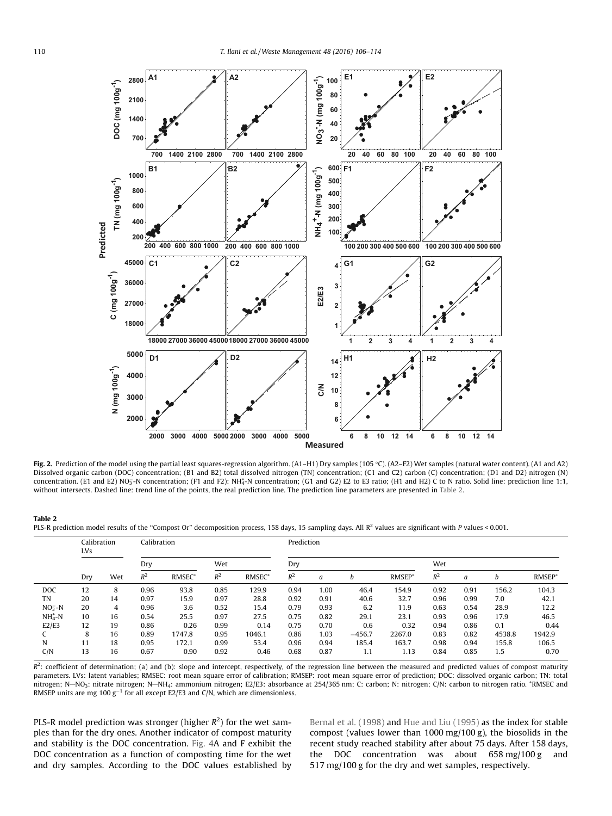

Fig. 2. Prediction of the model using the partial least squares-regression algorithm. (A1-H1) Dry samples (105 °C). (A2-F2) Wet samples (natural water content). (A1 and A2) Dissolved organic carbon (DOC) concentration; (B1 and B2) total dissolved nitrogen (TN) concentration; (C1 and C2) carbon (C) concentration; (D1 and D2) nitrogen (N) concentration. (E1 and E2) NO<sub>3</sub>-N concentration; (F1 and F2): NH<sub>4</sub>-N concentration; (G1 and G2) E2 to E3 ratio; (H1 and H2) C to N ratio. Solid line: prediction line 1:1, without intersects. Dashed line: trend line of the points, the real prediction line. The prediction line parameters are presented in Table 2.

#### Table 2

PLS-R prediction model results of the "Compost Or" decomposition process, 158 days, 15 sampling days. All R<sup>2</sup> values are significant with P values < 0.001.

|            | Calibration<br><b>LVs</b> |     | Calibration |                    |       | Prediction         |       |      |          |                    |       |      |        |                    |
|------------|---------------------------|-----|-------------|--------------------|-------|--------------------|-------|------|----------|--------------------|-------|------|--------|--------------------|
|            |                           |     | Dry         |                    | Wet   |                    | Dry   |      |          |                    | Wet   |      |        |                    |
|            | Dry                       | Wet | $R^2$       | RMSEC <sup>+</sup> | $R^2$ | RMSEC <sup>+</sup> | $R^2$ | a    | h        | RMSEP <sup>+</sup> | $R^2$ | a    | h      | RMSEP <sup>+</sup> |
| <b>DOC</b> | 12                        | 8   | 0.96        | 93.8               | 0.85  | 129.9              | 0.94  | 1.00 | 46.4     | 154.9              | 0.92  | 0.91 | 156.2  | 104.3              |
| TN         | 20                        | 14  | 0.97        | 15.9               | 0.97  | 28.8               | 0.92  | 0.91 | 40.6     | 32.7               | 0.96  | 0.99 | 7.0    | 42.1               |
| $NO3-N$    | 20                        | 4   | 0.96        | 3.6                | 0.52  | 15.4               | 0.79  | 0.93 | 6.2      | 11.9               | 0.63  | 0.54 | 28.9   | 12.2               |
| $NH4+-N$   | 10                        | 16  | 0.54        | 25.5               | 0.97  | 27.5               | 0.75  | 0.82 | 29.1     | 23.1               | 0.93  | 0.96 | 17.9   | 46.5               |
| E2/E3      | 12                        | 19  | 0.86        | 0.26               | 0.99  | 0.14               | 0.75  | 0.70 | 0.6      | 0.32               | 0.94  | 0.86 | 0.1    | 0.44               |
|            | 8                         | 16  | 0.89        | 1747.8             | 0.95  | 1046.1             | 0.86  | 1.03 | $-456.7$ | 2267.0             | 0.83  | 0.82 | 4538.8 | 1942.9             |
| N          | 11                        | 18  | 0.95        | 172.1              | 0.99  | 53.4               | 0.96  | 0.94 | 185.4    | 163.7              | 0.98  | 0.94 | 155.8  | 106.5              |
| C/N        | 13                        | 16  | 0.67        | 0.90               | 0.92  | 0.46               | 0.68  | 0.87 | 1.1      | 1.13               | 0.84  | 0.85 | 1.5    | 0.70               |

 $R^2$ : coefficient of determination; (a) and (b): slope and intercept, respectively, of the regression line between the measured and predicted values of compost maturity parameters. LVs: latent variables; RMSEC: root mean square error of calibration; RMSEP: root mean square error of prediction; DOC: dissolved organic carbon; TN: total nitrogen; N-NO<sub>3</sub>: nitrate nitrogen; N-NH<sub>4</sub>: ammonium nitrogen; E2/E3: absorbance at 254/365 nm; C: carbon; N: nitrogen; C/N: carbon to nitrogen ratio. \*RMSEC and RMSEP units are mg 100 g<sup>-1</sup> for all except E2/E3 and C/N, which are dimensionless.

PLS-R model prediction was stronger (higher R<sup>2</sup>) for the wet samples than for the dry ones. Another indicator of compost maturity and stability is the DOC concentration. Fig. 4A and F exhibit the DOC concentration as a function of composting time for the wet and dry samples. According to the DOC values established by

Bernal et al. (1998) and Hue and Liu (1995) as the index for stable compost (values lower than 1000 mg/100 g), the biosolids in the recent study reached stability after about 75 days. After 158 days, the DOC concentration was about 658 mg/100 g and 517 mg/100 g for the dry and wet samples, respectively.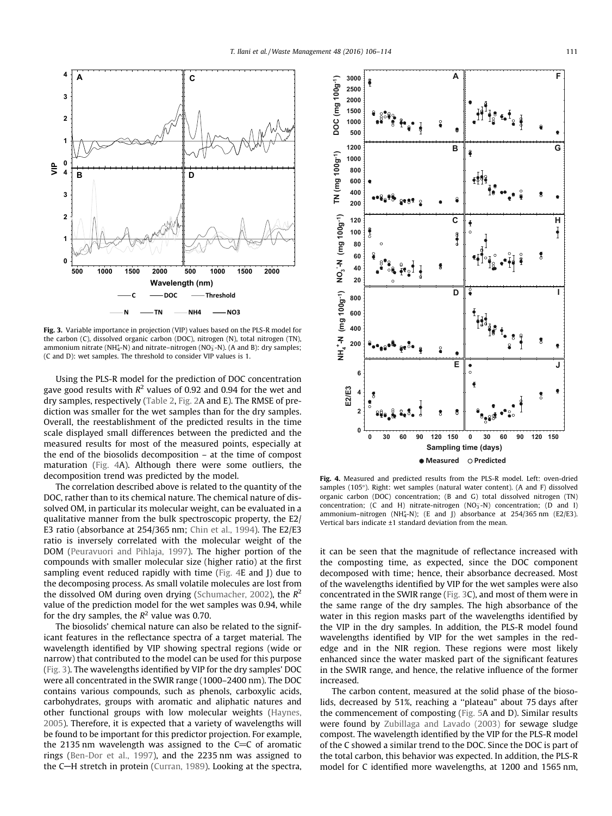

Fig. 3. Variable importance in projection (VIP) values based on the PLS-R model for the carbon (C), dissolved organic carbon (DOC), nitrogen (N), total nitrogen (TN), ammonium nitrate (NH<sup>+</sup><sub>4</sub>-N) and nitrate–nitrogen (NO<sub>3</sub>-N). (A and B): dry samples; (C and D): wet samples. The threshold to consider VIP values is 1.

Using the PLS-R model for the prediction of DOC concentration gave good results with  $R^2$  values of 0.92 and 0.94 for the wet and dry samples, respectively (Table 2, Fig. 2A and E). The RMSE of prediction was smaller for the wet samples than for the dry samples. Overall, the reestablishment of the predicted results in the time scale displayed small differences between the predicted and the measured results for most of the measured points, especially at the end of the biosolids decomposition – at the time of compost maturation (Fig. 4A). Although there were some outliers, the decomposition trend was predicted by the model.

The correlation described above is related to the quantity of the DOC, rather than to its chemical nature. The chemical nature of dissolved OM, in particular its molecular weight, can be evaluated in a qualitative manner from the bulk spectroscopic property, the E2/ E3 ratio (absorbance at 254/365 nm; Chin et al., 1994). The E2/E3 ratio is inversely correlated with the molecular weight of the DOM (Peuravuori and Pihlaja, 1997). The higher portion of the compounds with smaller molecular size (higher ratio) at the first sampling event reduced rapidly with time (Fig. 4E and J) due to the decomposing process. As small volatile molecules are lost from the dissolved OM during oven drying (Schumacher, 2002), the *R* 2 value of the prediction model for the wet samples was 0.94, while for the dry samples, the  $R^2$  value was 0.70.

The biosolids' chemical nature can also be related to the significant features in the reflectance spectra of a target material. The wavelength identified by VIP showing spectral regions (wide or narrow) that contributed to the model can be used for this purpose (Fig. 3). The wavelengths identified by VIP for the dry samples' DOC were all concentrated in the SWIR range (1000–2400 nm). The DOC contains various compounds, such as phenols, carboxylic acids, carbohydrates, groups with aromatic and aliphatic natures and other functional groups with low molecular weights (Haynes, 2005). Therefore, it is expected that a variety of wavelengths will be found to be important for this predictor projection. For example, the 2135 nm wavelength was assigned to the  $C=C$  of aromatic rings (Ben-Dor et al., 1997), and the 2235 nm was assigned to the C-H stretch in protein (Curran, 1989). Looking at the spectra,



Fig. 4. Measured and predicted results from the PLS-R model. Left: oven-dried samples (105°). Right: wet samples (natural water content). (A and F) dissolved organic carbon (DOC) concentration; (B and G) total dissolved nitrogen (TN) concentration; (C and H) nitrate-nitrogen  $(NO<sub>3</sub>-N)$  concentration; (D and I) ammonium-nitrogen (NH $_4^+$ -N); (E and J) absorbance at 254/365 nm (E2/E3). Vertical bars indicate ±1 standard deviation from the mean.

it can be seen that the magnitude of reflectance increased with the composting time, as expected, since the DOC component decomposed with time; hence, their absorbance decreased. Most of the wavelengths identified by VIP for the wet samples were also concentrated in the SWIR range (Fig. 3C), and most of them were in the same range of the dry samples. The high absorbance of the water in this region masks part of the wavelengths identified by the VIP in the dry samples. In addition, the PLS-R model found wavelengths identified by VIP for the wet samples in the rededge and in the NIR region. These regions were most likely enhanced since the water masked part of the significant features in the SWIR range, and hence, the relative influence of the former increased.

The carbon content, measured at the solid phase of the biosolids, decreased by 51%, reaching a ''plateau" about 75 days after the commencement of composting (Fig. 5A and D). Similar results were found by Zubillaga and Lavado (2003) for sewage sludge compost. The wavelength identified by the VIP for the PLS-R model of the C showed a similar trend to the DOC. Since the DOC is part of the total carbon, this behavior was expected. In addition, the PLS-R model for C identified more wavelengths, at 1200 and 1565 nm,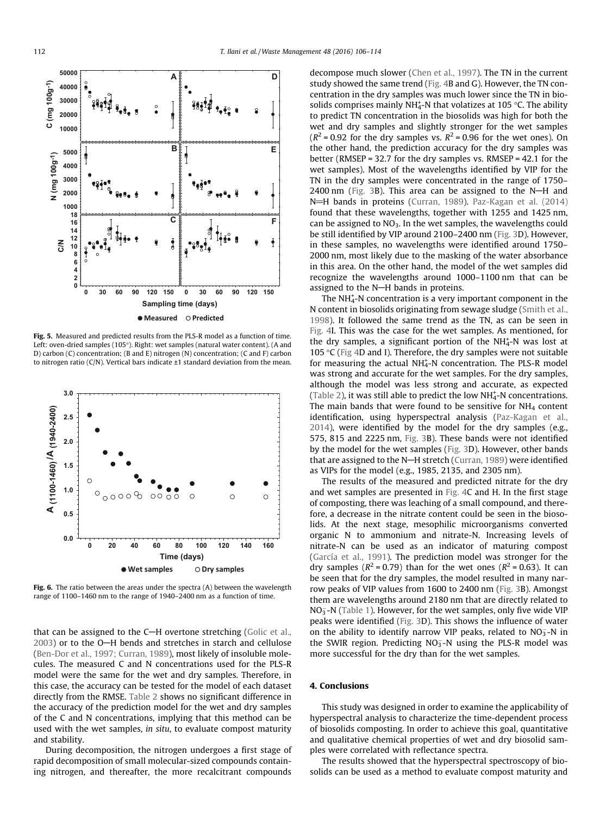**C (mg 100g-1)**

 $C (mg 100g^{-1})$ 

**D**



**A**

Fig. 5. Measured and predicted results from the PLS-R model as a function of time. Left: oven-dried samples (105°). Right: wet samples (natural water content). (A and D) carbon (C) concentration; (B and E) nitrogen (N) concentration; (C and F) carbon to nitrogen ratio (C/N). Vertical bars indicate ±1 standard deviation from the mean.



Fig. 6. The ratio between the areas under the spectra (A) between the wavelength range of 1100–1460 nm to the range of 1940–2400 nm as a function of time.

that can be assigned to the C-H overtone stretching (Golic et al.,  $2003$ ) or to the O-H bends and stretches in starch and cellulose (Ben-Dor et al., 1997; Curran, 1989), most likely of insoluble molecules. The measured C and N concentrations used for the PLS-R model were the same for the wet and dry samples. Therefore, in this case, the accuracy can be tested for the model of each dataset directly from the RMSE. Table 2 shows no significant difference in the accuracy of the prediction model for the wet and dry samples of the C and N concentrations, implying that this method can be used with the wet samples, *in situ*, to evaluate compost maturity and stability.

During decomposition, the nitrogen undergoes a first stage of rapid decomposition of small molecular-sized compounds containing nitrogen, and thereafter, the more recalcitrant compounds decompose much slower (Chen et al., 1997). The TN in the current study showed the same trend (Fig. 4B and G). However, the TN concentration in the dry samples was much lower since the TN in biosolids comprises mainly NH $_4$ -N that volatizes at 105 °C. The ability to predict TN concentration in the biosolids was high for both the wet and dry samples and slightly stronger for the wet samples  $(R<sup>2</sup> = 0.92$  for the dry samples vs.  $R<sup>2</sup> = 0.96$  for the wet ones). On the other hand, the prediction accuracy for the dry samples was better (RMSEP = 32.7 for the dry samples vs. RMSEP = 42.1 for the wet samples). Most of the wavelengths identified by VIP for the TN in the dry samples were concentrated in the range of 1750–  $2400$  nm (Fig. 3B). This area can be assigned to the N-H and N=H bands in proteins (Curran, 1989). Paz-Kagan et al. (2014) found that these wavelengths, together with 1255 and 1425 nm, can be assigned to  $NO<sub>3</sub>$ . In the wet samples, the wavelengths could be still identified by VIP around 2100–2400 nm (Fig. 3D). However, in these samples, no wavelengths were identified around 1750– 2000 nm, most likely due to the masking of the water absorbance in this area. On the other hand, the model of the wet samples did recognize the wavelengths around 1000–1100 nm that can be assigned to the N-H bands in proteins.

The  $NH_4^+$ -N concentration is a very important component in the N content in biosolids originating from sewage sludge (Smith et al., 1998). It followed the same trend as the TN, as can be seen in Fig. 4I. This was the case for the wet samples. As mentioned, for the dry samples, a significant portion of the NH<sup>+</sup>-N was lost at 105 °C (Fig 4D and I). Therefore, the dry samples were not suitable for measuring the actual NH<sup>+</sup>-N concentration. The PLS-R model was strong and accurate for the wet samples. For the dry samples, although the model was less strong and accurate, as expected (Table 2), it was still able to predict the low  $NH<sub>4</sub><sup>+</sup>-N$  concentrations. The main bands that were found to be sensitive for  $NH<sub>4</sub>$  content identification, using hyperspectral analysis (Paz-Kagan et al., 2014), were identified by the model for the dry samples (e.g., 575, 815 and 2225 nm, Fig. 3B). These bands were not identified by the model for the wet samples (Fig. 3D). However, other bands that are assigned to the N-H stretch (Curran, 1989) were identified as VIPs for the model (e.g., 1985, 2135, and 2305 nm).

The results of the measured and predicted nitrate for the dry and wet samples are presented in Fig. 4C and H. In the first stage of composting, there was leaching of a small compound, and therefore, a decrease in the nitrate content could be seen in the biosolids. At the next stage, mesophilic microorganisms converted organic N to ammonium and nitrate-N. Increasing levels of nitrate-N can be used as an indicator of maturing compost (García et al., 1991). The prediction model was stronger for the dry samples ( $R^2$  = 0.79) than for the wet ones ( $R^2$  = 0.63). It can be seen that for the dry samples, the model resulted in many narrow peaks of VIP values from 1600 to 2400 nm (Fig. 3B). Amongst them are wavelengths around 2180 nm that are directly related to NO<sub>3</sub>-N (Table 1). However, for the wet samples, only five wide VIP peaks were identified (Fig. 3D). This shows the influence of water on the ability to identify narrow VIP peaks, related to  $NO<sub>3</sub> - N$  in the SWIR region. Predicting  $NO<sub>3</sub><sup>-</sup>N$  using the PLS-R model was more successful for the dry than for the wet samples.

# 4. Conclusions

This study was designed in order to examine the applicability of hyperspectral analysis to characterize the time-dependent process of biosolids composting. In order to achieve this goal, quantitative and qualitative chemical properties of wet and dry biosolid samples were correlated with reflectance spectra.

The results showed that the hyperspectral spectroscopy of biosolids can be used as a method to evaluate compost maturity and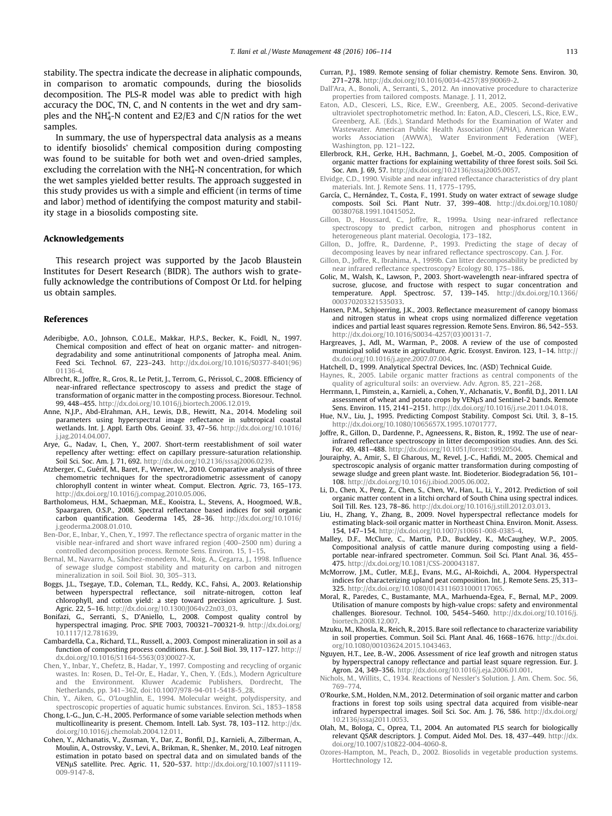stability. The spectra indicate the decrease in aliphatic compounds, in comparison to aromatic compounds, during the biosolids decomposition. The PLS-R model was able to predict with high accuracy the DOC, TN, C, and N contents in the wet and dry samples and the NH<sub>4</sub>-N content and E2/E3 and C/N ratios for the wet samples.

In summary, the use of hyperspectral data analysis as a means to identify biosolids' chemical composition during composting was found to be suitable for both wet and oven-dried samples, excluding the correlation with the  $NH_4^+$ -N concentration, for which the wet samples yielded better results. The approach suggested in this study provides us with a simple and efficient (in terms of time and labor) method of identifying the compost maturity and stability stage in a biosolids composting site.

#### Acknowledgements

This research project was supported by the Jacob Blaustein Institutes for Desert Research (BIDR). The authors wish to gratefully acknowledge the contributions of Compost Or Ltd. for helping us obtain samples.

#### References

- Aderibigbe, A.O., Johnson, C.O.L.E., Makkar, H.P.S., Becker, K., Foidl, N., 1997. Chemical composition and effect of heat on organic matter- and nitrogendegradability and some antinutritional components of Jatropha meal. Anim. Feed Sci. Technol. 67, 223–243. http://dx.doi.org/10.1016/S0377-8401(96) 01136-4.
- Albrecht, R., Joffre, R., Gros, R., Le Petit, J., Terrom, G., Périssol, C., 2008. Efficiency of near-infrared reflectance spectroscopy to assess and predict the stage of transformation of organic matter in the composting process. Bioresour. Technol. 99, 448–455. http://dx.doi.org/10.1016/j.biortech.2006.12.019.
- Anne, N.J.P., Abd-Elrahman, A.H., Lewis, D.B., Hewitt, N.a., 2014. Modeling soil parameters using hyperspectral image reflectance in subtropical coastal wetlands. Int. J. Appl. Earth Obs. Geoinf. 33, 47–56. http://dx.doi.org/10.1016/ j.jag.2014.04.007.
- Arye, G., Nadav, I., Chen, Y., 2007. Short-term reestablishment of soil water repellency after wetting: effect on capillary pressure-saturation relationship. Soil Sci. Soc. Am. J. 71, 692. http://dx.doi.org/10.2136/sssaj2006.0239.
- Atzberger, C., Guérif, M., Baret, F., Werner, W., 2010. Comparative analysis of three chemometric techniques for the spectroradiometric assessment of canopy chlorophyll content in winter wheat. Comput. Electron. Agric. 73, 165–173. http://dx.doi.org/10.1016/j.compag.2010.05.006.
- Bartholomeus, H.M., Schaepman, M.E., Kooistra, L., Stevens, A., Hoogmoed, W.B., Spaargaren, O.S.P., 2008. Spectral reflectance based indices for soil organic carbon quantification. Geoderma 145, 28–36. http://dx.doi.org/10.1016/ j.geoderma.2008.01.010.
- Ben-Dor, E., Inbar, Y., Chen, Y., 1997. The reflectance spectra of organic matter in the visible near-infrared and short wave infrared region (400–2500 nm) during a controlled decomposition process. Remote Sens. Environ. 15, 1–15.
- Bernal, M., Navarro, A., Sánchez-monedero, M., Roig, A., Cegarra, J., 1998. Influence of sewage sludge compost stability and maturity on carbon and nitrogen mineralization in soil. Soil Biol. 30, 305–313.
- Boggs, J.L., Tsegaye, T.D., Coleman, T.L., Reddy, K.C., Fahsi, A., 2003. Relationship between hyperspectral reflectance, soil nitrate-nitrogen, cotton leaf chlorophyll, and cotton yield: a step toward precision agriculture. J. Sust. Agric. 22, 5–16. http://dx.doi.org/10.1300/J064v22n03\_03.
- Bonifazi, G., Serranti, S., D'Aniello, L., 2008. Compost quality control by hyperspectral imaging. Proc. SPIE 7003, 700321–700321-9. http://dx.doi.org/ 10.1117/12.781639.
- Cambardella, C.a., Richard, T.L., Russell, a., 2003. Compost mineralization in soil as a function of composting process conditions. Eur. J. Soil Biol. 39, 117–127. http:// dx.doi.org/10.1016/S1164-5563(03)00027-X.
- Chen, Y., Inbar, Y., Chefetz, B., Hadar, Y., 1997. Composting and recycling of organic wastes. In: Rosen, D., Tel-Or, E., Hadar, Y., Chen, Y. (Eds.), Modern Agriculture and the Environment. Kluwer Academic Publishers, Dordrecht, The Netherlands, pp. 341–362, doi:10.1007/978-94-011-5418-5\_28.
- Chin, Y., Aiken, G., O'Loughlin, E., 1994. Molecular weight, polydispersity, and spectroscopic properties of aquatic humic substances. Environ. Sci., 1853–1858
- Chong, I.-G., Jun, C.-H., 2005. Performance of some variable selection methods when multicollinearity is present. Chemom. Intell. Lab. Syst. 78, 103–112. http://dx. doi.org/10.1016/j.chemolab.2004.12.011.
- Cohen, Y., Alchanatis, V., Zusman, Y., Dar, Z., Bonfil, D.J., Karnieli, A., Zilberman, A., Moulin, A., Ostrovsky, V., Levi, A., Brikman, R., Shenker, M., 2010. Leaf nitrogen estimation in potato based on spectral data and on simulated bands of the VENµS satellite. Prec. Agric. 11, 520-537. http://dx.doi.org/10.1007/s11119-009-9147-8.
- Curran, P.J., 1989. Remote sensing of foliar chemistry. Remote Sens. Environ. 30, 271–278. http://dx.doi.org/10.1016/0034-4257(89)90069-2.
- Dall'Ara, A., Bonoli, A., Serranti, S., 2012. An innovative procedure to characterize properties from tailored composts. Manage. J. 11, 2012.
- Eaton, A.D., Clesceri, L.S., Rice, E.W., Greenberg, A.E., 2005. Second-derivative ultraviolet spectrophotometric method. In: Eaton, A.D., Clesceri, L.S., Rice, E.W., Greenberg, A.E. (Eds.), Standard Methods for the Examination of Water and Wastewater. American Public Health Association (APHA), American Water works Association (AWWA), Water Environment Federation (WEF), Washington, pp. 121–122.
- Ellerbrock, R.H., Gerke, H.H., Bachmann, J., Goebel, M.-O., 2005. Composition of organic matter fractions for explaining wettability of three forest soils. Soil Sci. Soc. Am. J. 69, 57. http://dx.doi.org/10.2136/sssaj2005.0057.
- Elvidge, C.D., 1990. Visible and near infrared reflectance characteristics of dry plant materials. Int. J. Remote Sens. 11, 1775–1795.
- García, C., Hernández, T., Costa, F., 1991. Study on water extract of sewage sludge composts. Soil Sci. Plant Nutr. 37, 399–408. http://dx.doi.org/10.1080/ 00380768.1991.10415052.
- Gillon, D., Houssard, C., Joffre, R., 1999a. Using near-infrared reflectance spectroscopy to predict carbon, nitrogen and phosphorus content in heterogeneous plant material. Oecologia, 173–182.
- Gillon, D., Joffre, R., Dardenne, P., 1993. Predicting the stage of decay of decomposing leaves by near infrared reflectance spectroscopy. Can. J. For.
- Gillon, D., Joffre, R., Ibrahima, A., 1999b. Can litter decomposability be predicted by near infrared reflectance spectroscopy? Ecology 80, 175–186.
- Golic, M., Walsh, K., Lawson, P., 2003. Short-wavelength near-infrared spectra of sucrose, glucose, and fructose with respect to sugar concentration and temperature. Appl. Spectrosc. 57, 139–145. http://dx.doi.org/10.1366/ 000370203321535033.
- Hansen, P.M., Schjoerring, J.K., 2003. Reflectance measurement of canopy biomass and nitrogen status in wheat crops using normalized difference vegetation indices and partial least squares regression. Remote Sens. Environ. 86, 542–553. http://dx.doi.org/10.1016/S0034-4257(03)00131-7.
- Hargreaves, J., Adl, M., Warman, P., 2008. A review of the use of composted municipal solid waste in agriculture. Agric. Ecosyst. Environ. 123, 1–14. http:// dx.doi.org/10.1016/j.agee.2007.07.004.
- Hatchell, D., 1999. Analytical Spectral Devices, Inc. (ASD) Technical Guide.
- Haynes, R., 2005. Labile organic matter fractions as central components of the quality of agricultural soils: an overview. Adv. Agron. 85, 221–268.
- Herrmann, I., Pimstein, a., Karnieli, a., Cohen, Y., Alchanatis, V., Bonfil, D.J., 2011. LAI assessment of wheat and potato crops by VENµS and Sentinel-2 bands. Remote Sens. Environ. 115, 2141–2151. http://dx.doi.org/10.1016/j.rse.2011.04.018.
- Hue, N.V., Liu, J., 1995. Predicting Compost Stability. Compost Sci. Util. 3, 8–15. http://dx.doi.org/10.1080/1065657X.1995.10701777.
- Joffre, R., Gillon, D., Dardenne, P., Agneessens, R., Biston, R., 1992. The use of nearinfrared reflectance spectroscopy in litter decomposition studies. Ann. des Sci. For. 49, 481–488. http://dx.doi.org/10.1051/forest:19920504.
- Jouraiphy, A., Amir, S., El Gharous, M., Revel, J.-C., Hafidi, M., 2005. Chemical and spectroscopic analysis of organic matter transformation during composting of sewage sludge and green plant waste. Int. Biodeterior. Biodegradation 56, 101– 108. http://dx.doi.org/10.1016/j.ibiod.2005.06.002.
- Li, D., Chen, X., Peng, Z., Chen, S., Chen, W., Han, L., Li, Y., 2012. Prediction of soil organic matter content in a litchi orchard of South China using spectral indices. Soil Till. Res. 123, 78–86. http://dx.doi.org/10.1016/j.still.2012.03.013.
- Liu, H., Zhang, Y., Zhang, B., 2009. Novel hyperspectral reflectance models for estimating black-soil organic matter in Northeast China. Environ. Monit. Assess. 154, 147–154. http://dx.doi.org/10.1007/s10661-008-0385-4.
- Malley, D.F., McClure, C., Martin, P.D., Buckley, K., McCaughey, W.P., 2005. Compositional analysis of cattle manure during composting using a fieldportable near-infrared spectrometer. Commun. Soil Sci. Plant Anal. 36, 455– 475. http://dx.doi.org/10.1081/CSS-200043187.
- McMorrow, J.M., Cutler, M.E.J., Evans, M.G., Al-Roichdi, A., 2004. Hyperspectral indices for characterizing upland peat composition. Int. J. Remote Sens. 25, 313– 325. http://dx.doi.org/10.1080/0143116031000117065.
- Moral, R., Paredes, C., Bustamante, M.A., Marhuenda-Egea, F., Bernal, M.P., 2009. Utilisation of manure composts by high-value crops: safety and environmental challenges. Bioresour. Technol. 100, 5454–5460. http://dx.doi.org/10.1016/j. biortech.2008.12.007.
- Mzuku, M., Khosla, R., Reich, R., 2015. Bare soil reflectance to characterize variability in soil properties. Commun. Soil Sci. Plant Anal. 46, 1668–1676. http://dx.doi. org/10.1080/00103624.2015.1043463.
- Nguyen, H.T., Lee, B.-W., 2006. Assessment of rice leaf growth and nitrogen status by hyperspectral canopy reflectance and partial least square regression. Eur. J. Agron. 24, 349–356. http://dx.doi.org/10.1016/j.eja.2006.01.001.
- Nichols, M., Willits, C., 1934. Reactions of Nessler's Solution. J. Am. Chem. Soc. 56, 769–774.
- O'Rourke, S.M., Holden, N.M., 2012. Determination of soil organic matter and carbon fractions in forest top soils using spectral data acquired from visible-near infrared hyperspectral images. Soil Sci. Soc. Am. J. 76, 586. http://dx.doi.org/ 10.2136/sssaj2011.0053.
- Olah, M., Bologa, C., Oprea, T.I., 2004. An automated PLS search for biologically relevant QSAR descriptors. J. Comput. Aided Mol. Des. 18, 437–449. http://dx. doi.org/10.1007/s10822-004-4060-8.
- Ozores-Hampton, M., Peach, D., 2002. Biosolids in vegetable production systems. Horttechnology 12.